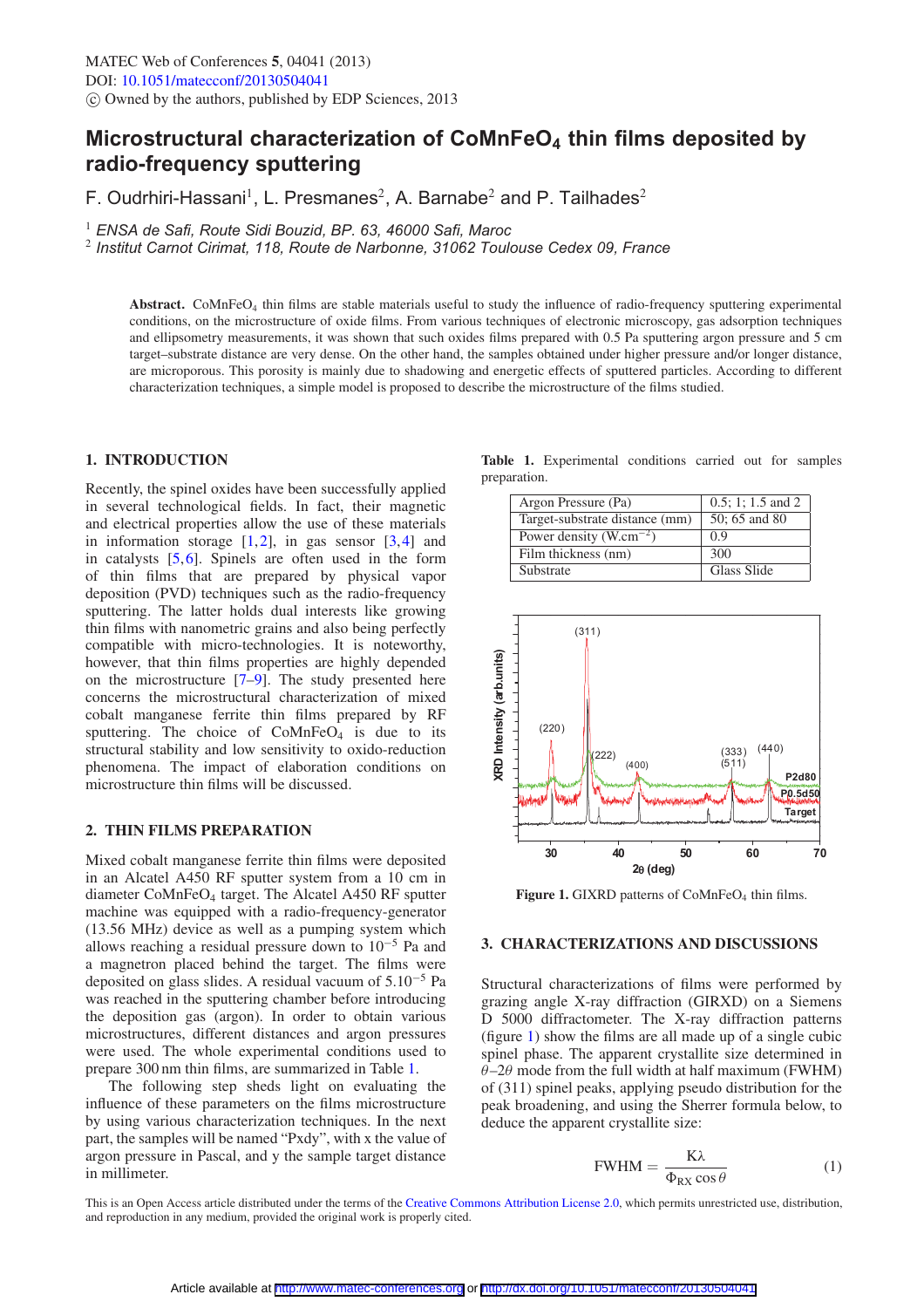# **Microstructural characterization of CoMnFeO4 thin films deposited by radio-frequency sputtering**

F. Oudrhiri-Hassani<sup>1</sup>, L. Presmanes<sup>2</sup>, A. Barnabe<sup>2</sup> and P. Tailhades<sup>2</sup>

1 *ENSA de Safi, Route Sidi Bouzid, BP. 63, 46000 Safi, Maroc*

2 *Institut Carnot Cirimat, 118, Route de Narbonne, 31062 Toulouse Cedex 09, France*

**Abstract.** CoMnFeO4 thin films are stable materials useful to study the influence of radio-frequency sputtering experimental conditions, on the microstructure of oxide films. From various techniques of electronic microscopy, gas adsorption techniques and ellipsometry measurements, it was shown that such oxides films prepared with 0.5 Pa sputtering argon pressure and 5 cm target–substrate distance are very dense. On the other hand, the samples obtained under higher pressure and/or longer distance, are microporous. This porosity is mainly due to shadowing and energetic effects of sputtered particles. According to different characterization techniques, a simple model is proposed to describe the microstructure of the films studied.

# **1. INTRODUCTION**

Recently, the spinel oxides have been successfully applied in several technological fields. In fact, their magnetic and electrical properties allow the use of these materials in information storage  $[1,2]$  $[1,2]$  $[1,2]$ , in gas sensor  $[3,4]$  $[3,4]$  $[3,4]$  and in catalysts  $[5,6]$  $[5,6]$  $[5,6]$ . Spinels are often used in the form of thin films that are prepared by physical vapor deposition (PVD) techniques such as the radio-frequency sputtering. The latter holds dual interests like growing thin films with nanometric grains and also being perfectly compatible with micro-technologies. It is noteworthy, however, that thin films properties are highly depended on the microstructure [\[7](#page-2-6)[–9\]](#page-2-7). The study presented here concerns the microstructural characterization of mixed cobalt manganese ferrite thin films prepared by RF sputtering. The choice of  $CoMnFeO<sub>4</sub>$  is due to its structural stability and low sensitivity to oxido-reduction phenomena. The impact of elaboration conditions on microstructure thin films will be discussed.

## **2. THIN FILMS PREPARATION**

Mixed cobalt manganese ferrite thin films were deposited in an Alcatel A450 RF sputter system from a 10 cm in diameter CoMnFeO4 target. The Alcatel A450 RF sputter machine was equipped with a radio-frequency-generator (13.56 MHz) device as well as a pumping system which allows reaching a residual pressure down to  $10^{-5}$  Pa and a magnetron placed behind the target. The films were deposited on glass slides. A residual vacuum of 5.10−<sup>5</sup> Pa was reached in the sputtering chamber before introducing the deposition gas (argon). In order to obtain various microstructures, different distances and argon pressures were used. The whole experimental conditions used to prepare 300 nm thin films, are summarized in Table [1.](#page-0-0)

The following step sheds light on evaluating the influence of these parameters on the films microstructure by using various characterization techniques. In the next part, the samples will be named "Pxdy", with x the value of argon pressure in Pascal, and y the sample target distance in millimeter.

<span id="page-0-0"></span>**Table 1.** Experimental conditions carried out for samples preparation.

| Argon Pressure (Pa)                 | $0.5$ ; 1; 1.5 and 2 |
|-------------------------------------|----------------------|
| Target-substrate distance (mm)      | 50; 65 and 80        |
| Power density (W.cm <sup>-2</sup> ) | 0.9                  |
| Film thickness (nm)                 | 300                  |
| Substrate                           | Glass Slide          |

<span id="page-0-1"></span>

**Figure 1.** GIXRD patterns of CoMnFeO<sub>4</sub> thin films.

# **3. CHARACTERIZATIONS AND DISCUSSIONS**

Structural characterizations of films were performed by grazing angle X-ray diffraction (GIRXD) on a Siemens D 5000 diffractometer. The X-ray diffraction patterns (figure [1\)](#page-0-1) show the films are all made up of a single cubic spinel phase. The apparent crystallite size determined in  $\theta$ –2 $\theta$  mode from the full width at half maximum (FWHM) of (311) spinel peaks, applying pseudo distribution for the peak broadening, and using the Sherrer formula below, to deduce the apparent crystallite size:

$$
\text{FWHM} = \frac{\text{K}\lambda}{\Phi_{\text{RX}}\cos\theta} \tag{1}
$$

This is an Open Access article distributed under the terms of the [Creative Commons Attribution License 2.0,](http://creativecommons.org/licenses/by/2.0/) which permits unrestricted use, distribution, and reproduction in any medium, provided the original work is properly cited.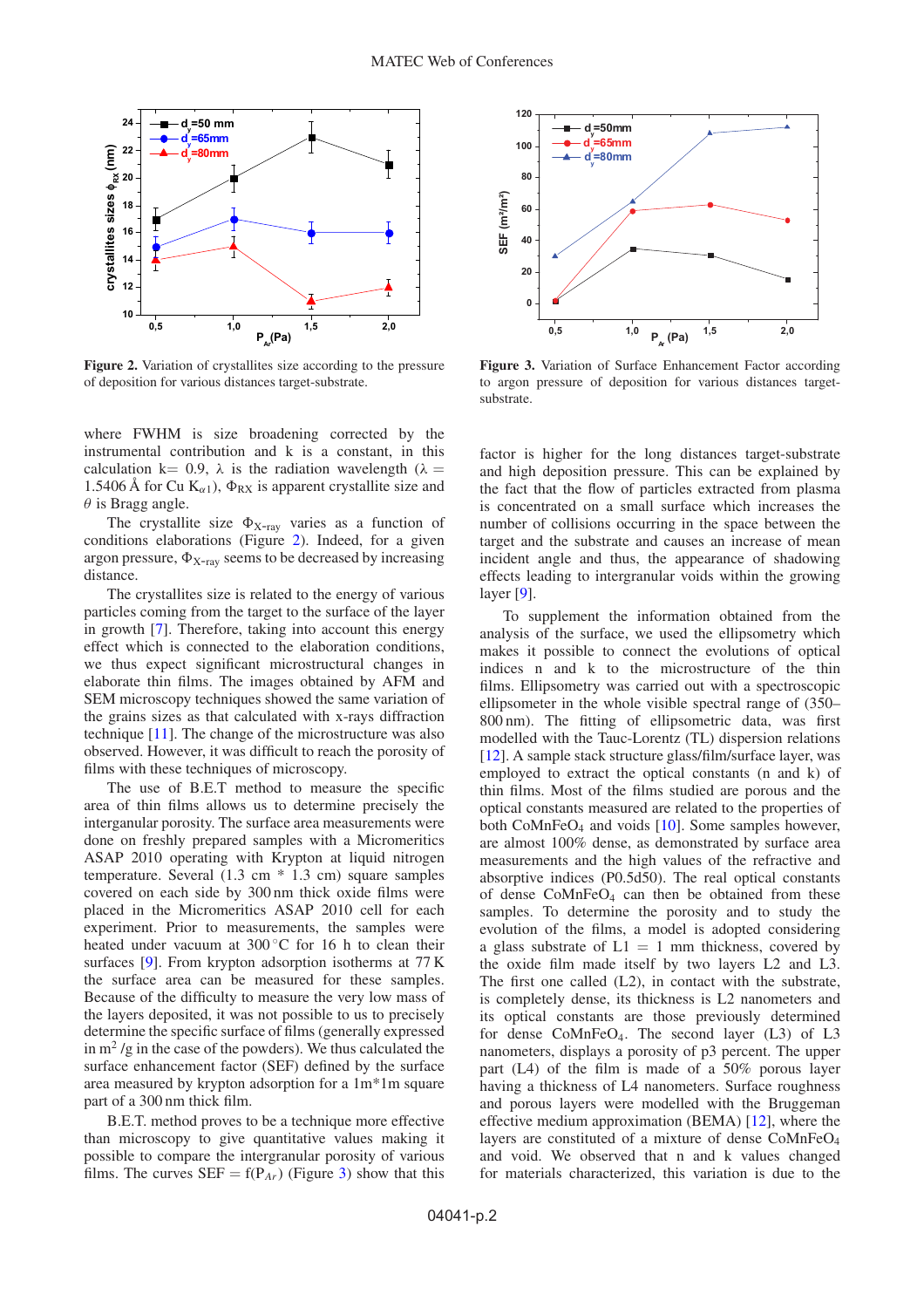<span id="page-1-0"></span>

**Figure 2.** Variation of crystallites size according to the pressure of deposition for various distances target-substrate.

where FWHM is size broadening corrected by the instrumental contribution and k is a constant, in this calculation k= 0.9,  $\lambda$  is the radiation wavelength ( $\lambda$  = 1.5406 Å for Cu  $K_{\alpha 1}$ ),  $\Phi_{RX}$  is apparent crystallite size and  $\theta$  is Bragg angle.

The crystallite size  $\Phi_{X-ray}$  varies as a function of conditions elaborations (Figure [2\)](#page-1-0). Indeed, for a given argon pressure,  $\Phi_{X-ray}$  seems to be decreased by increasing distance.

The crystallites size is related to the energy of various particles coming from the target to the surface of the layer in growth [\[7](#page-2-6)]. Therefore, taking into account this energy effect which is connected to the elaboration conditions, we thus expect significant microstructural changes in elaborate thin films. The images obtained by AFM and SEM microscopy techniques showed the same variation of the grains sizes as that calculated with x-rays diffraction technique [\[11\]](#page-2-8). The change of the microstructure was also observed. However, it was difficult to reach the porosity of films with these techniques of microscopy.

The use of B.E.T method to measure the specific area of thin films allows us to determine precisely the interganular porosity. The surface area measurements were done on freshly prepared samples with a Micromeritics ASAP 2010 operating with Krypton at liquid nitrogen temperature. Several (1.3 cm \* 1.3 cm) square samples covered on each side by 300 nm thick oxide films were placed in the Micromeritics ASAP 2010 cell for each experiment. Prior to measurements, the samples were heated under vacuum at 300 ℃ for 16 h to clean their surfaces [\[9\]](#page-2-7). From krypton adsorption isotherms at 77 K the surface area can be measured for these samples. Because of the difficulty to measure the very low mass of the layers deposited, it was not possible to us to precisely determine the specific surface of films (generally expressed in  $m^2$  /g in the case of the powders). We thus calculated the surface enhancement factor (SEF) defined by the surface area measured by krypton adsorption for a 1m\*1m square part of a 300 nm thick film.

B.E.T. method proves to be a technique more effective than microscopy to give quantitative values making it possible to compare the intergranular porosity of various films. The curves  $SEF = f(P_{Ar})$  (Figure [3\)](#page-1-1) show that this

<span id="page-1-1"></span>

**Figure 3.** Variation of Surface Enhancement Factor according to argon pressure of deposition for various distances targetsubstrate.

factor is higher for the long distances target-substrate and high deposition pressure. This can be explained by the fact that the flow of particles extracted from plasma is concentrated on a small surface which increases the number of collisions occurring in the space between the target and the substrate and causes an increase of mean incident angle and thus, the appearance of shadowing effects leading to intergranular voids within the growing layer [\[9\]](#page-2-7).

To supplement the information obtained from the analysis of the surface, we used the ellipsometry which makes it possible to connect the evolutions of optical indices n and k to the microstructure of the thin films. Ellipsometry was carried out with a spectroscopic ellipsometer in the whole visible spectral range of (350– 800 nm). The fitting of ellipsometric data, was first modelled with the Tauc-Lorentz (TL) dispersion relations [\[12](#page-2-9)]. A sample stack structure glass/film/surface layer, was employed to extract the optical constants (n and k) of thin films. Most of the films studied are porous and the optical constants measured are related to the properties of both CoMnFe $O_4$  and voids [\[10](#page-2-10)]. Some samples however, are almost 100% dense, as demonstrated by surface area measurements and the high values of the refractive and absorptive indices (P0.5d50). The real optical constants of dense CoMnFeO4 can then be obtained from these samples. To determine the porosity and to study the evolution of the films, a model is adopted considering a glass substrate of  $L1 = 1$  mm thickness, covered by the oxide film made itself by two layers L2 and L3. The first one called (L2), in contact with the substrate, is completely dense, its thickness is L2 nanometers and its optical constants are those previously determined for dense  $CoMnFeO<sub>4</sub>$ . The second layer (L3) of L3 nanometers, displays a porosity of p3 percent. The upper part (L4) of the film is made of a 50% porous layer having a thickness of L4 nanometers. Surface roughness and porous layers were modelled with the Bruggeman effective medium approximation (BEMA) [\[12](#page-2-9)], where the layers are constituted of a mixture of dense CoMnFeO4 and void. We observed that n and k values changed for materials characterized, this variation is due to the